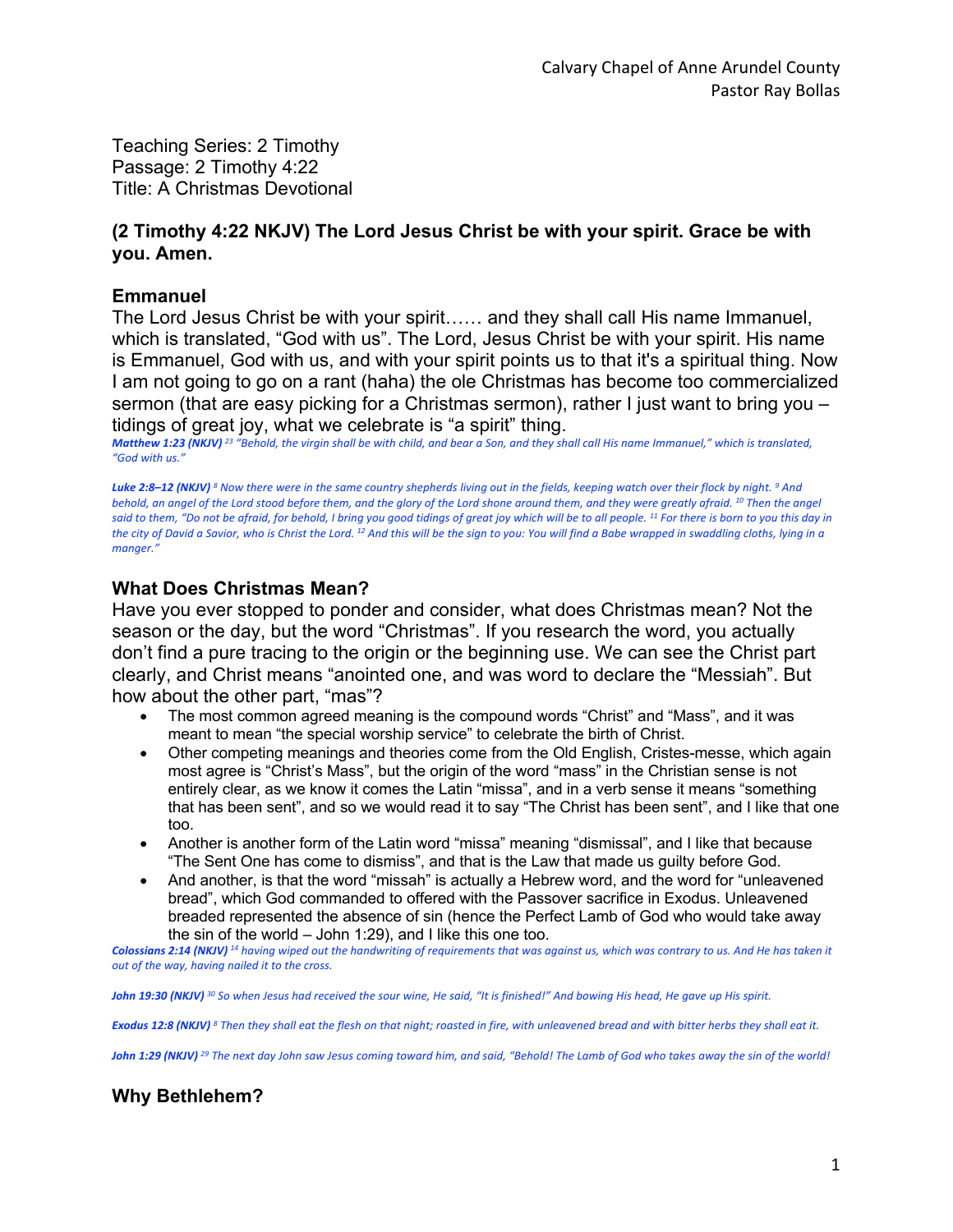Teaching Series: 2 Timothy Passage: 2 Timothy 4:22 Title: A Christmas Devotional

## **(2 Timothy 4:22 NKJV) The Lord Jesus Christ be with your spirit. Grace be with you. Amen.**

### **Emmanuel**

The Lord Jesus Christ be with your spirit…… and they shall call His name Immanuel, which is translated, "God with us". The Lord, Jesus Christ be with your spirit. His name is Emmanuel, God with us, and with your spirit points us to that it's a spiritual thing. Now I am not going to go on a rant (haha) the ole Christmas has become too commercialized sermon (that are easy picking for a Christmas sermon), rather I just want to bring you – tidings of great joy, what we celebrate is "a spirit" thing.

*Matthew 1:23 (NKJV) <sup>23</sup> "Behold, the virgin shall be with child, and bear a Son, and they shall call His name Immanuel," which is translated, "God with us."* 

*Luke 2:8–12 (NKJV) <sup>8</sup> Now there were in the same country shepherds living out in the fields, keeping watch over their flock by night. 9 And behold, an angel of the Lord stood before them, and the glory of the Lord shone around them, and they were greatly afraid. 10 Then the angel said to them, "Do not be afraid, for behold, I bring you good tidings of great joy which will be to all people. 11 For there is born to you this day in the city of David a Savior, who is Christ the Lord. 12 And this will be the sign to you: You will find a Babe wrapped in swaddling cloths, lying in a manger."* 

# **What Does Christmas Mean?**

Have you ever stopped to ponder and consider, what does Christmas mean? Not the season or the day, but the word "Christmas". If you research the word, you actually don't find a pure tracing to the origin or the beginning use. We can see the Christ part clearly, and Christ means "anointed one, and was word to declare the "Messiah". But how about the other part, "mas"?

- The most common agreed meaning is the compound words "Christ" and "Mass", and it was meant to mean "the special worship service" to celebrate the birth of Christ.
- Other competing meanings and theories come from the Old English, Cristes-messe, which again most agree is "Christ's Mass", but the origin of the word "mass" in the Christian sense is not entirely clear, as we know it comes the Latin "missa", and in a verb sense it means "something that has been sent", and so we would read it to say "The Christ has been sent", and I like that one too.
- Another is another form of the Latin word "missa" meaning "dismissal", and I like that because "The Sent One has come to dismiss", and that is the Law that made us guilty before God.
- And another, is that the word "missah" is actually a Hebrew word, and the word for "unleavened bread", which God commanded to offered with the Passover sacrifice in Exodus. Unleavened breaded represented the absence of sin (hence the Perfect Lamb of God who would take away the sin of the world – John 1:29), and I like this one too.

*Colossians 2:14 (NKJV) <sup>14</sup> having wiped out the handwriting of requirements that was against us, which was contrary to us. And He has taken it out of the way, having nailed it to the cross.* 

*John 19:30 (NKJV) <sup>30</sup> So when Jesus had received the sour wine, He said, "It is finished!" And bowing His head, He gave up His spirit.* 

*Exodus 12:8 (NKJV) <sup>8</sup> Then they shall eat the flesh on that night; roasted in fire, with unleavened bread and with bitter herbs they shall eat it.* 

*John 1:29 (NKJV) <sup>29</sup> The next day John saw Jesus coming toward him, and said, "Behold! The Lamb of God who takes away the sin of the world!* 

# **Why Bethlehem?**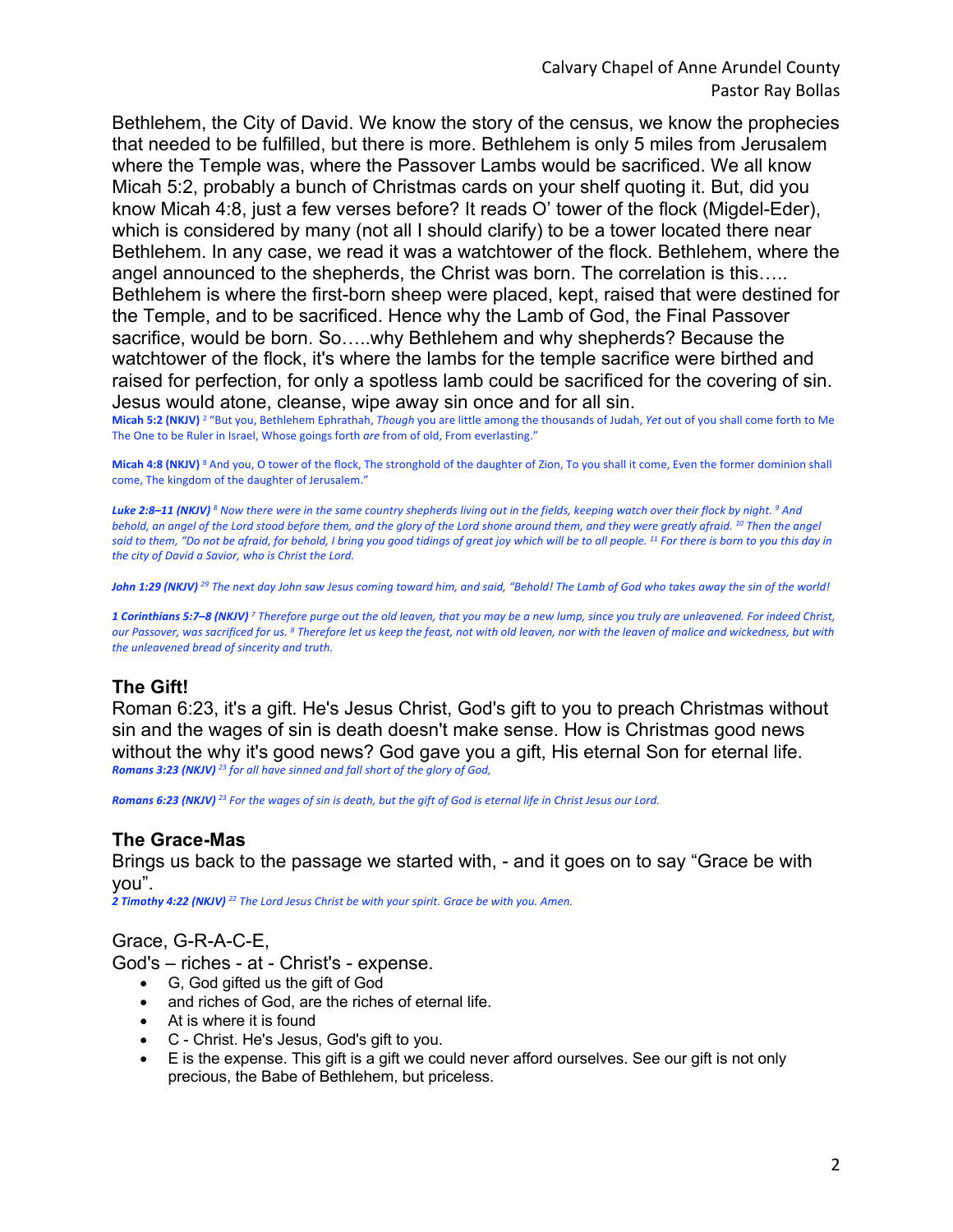Bethlehem, the City of David. We know the story of the census, we know the prophecies that needed to be fulfilled, but there is more. Bethlehem is only 5 miles from Jerusalem where the Temple was, where the Passover Lambs would be sacrificed. We all know Micah 5:2, probably a bunch of Christmas cards on your shelf quoting it. But, did you know Micah 4:8, just a few verses before? It reads O' tower of the flock (Migdel-Eder), which is considered by many (not all I should clarify) to be a tower located there near Bethlehem. In any case, we read it was a watchtower of the flock. Bethlehem, where the angel announced to the shepherds, the Christ was born. The correlation is this….. Bethlehem is where the first-born sheep were placed, kept, raised that were destined for the Temple, and to be sacrificed. Hence why the Lamb of God, the Final Passover sacrifice, would be born. So…..why Bethlehem and why shepherds? Because the watchtower of the flock, it's where the lambs for the temple sacrifice were birthed and raised for perfection, for only a spotless lamb could be sacrificed for the covering of sin. Jesus would atone, cleanse, wipe away sin once and for all sin.

**Micah 5:2 (NKJV)** <sup>2</sup> "But you, Bethlehem Ephrathah, *Though* you are little among the thousands of Judah, *Yet* out of you shall come forth to Me The One to be Ruler in Israel, Whose goings forth *are* from of old, From everlasting."

Micah 4:8 (NKJV)<sup>8</sup> And you, O tower of the flock, The stronghold of the daughter of Zion, To you shall it come, Even the former dominion shall come, The kingdom of the daughter of Jerusalem."

*Luke 2:8–11 (NKJV) <sup>8</sup> Now there were in the same country shepherds living out in the fields, keeping watch over their flock by night. 9 And behold, an angel of the Lord stood before them, and the glory of the Lord shone around them, and they were greatly afraid. 10 Then the angel said to them, "Do not be afraid, for behold, I bring you good tidings of great joy which will be to all people. 11 For there is born to you this day in the city of David a Savior, who is Christ the Lord.* 

*John 1:29 (NKJV) <sup>29</sup> The next day John saw Jesus coming toward him, and said, "Behold! The Lamb of God who takes away the sin of the world!* 

*1 Corinthians 5:7–8 (NKJV) <sup>7</sup> Therefore purge out the old leaven, that you may be a new lump, since you truly are unleavened. For indeed Christ, our Passover, was sacrificed for us. 8 Therefore let us keep the feast, not with old leaven, nor with the leaven of malice and wickedness, but with the unleavened bread of sincerity and truth.* 

## **The Gift!**

Roman 6:23, it's a gift. He's Jesus Christ, God's gift to you to preach Christmas without sin and the wages of sin is death doesn't make sense. How is Christmas good news without the why it's good news? God gave you a gift, His eternal Son for eternal life. *Romans 3:23 (NKJV) <sup>23</sup> for all have sinned and fall short of the glory of God,* 

*Romans 6:23 (NKJV) <sup>23</sup> For the wages of sin is death, but the gift of God is eternal life in Christ Jesus our Lord.* 

### **The Grace-Mas**

Brings us back to the passage we started with, - and it goes on to say "Grace be with you".

*2 Timothy 4:22 (NKJV) <sup>22</sup> The Lord Jesus Christ be with your spirit. Grace be with you. Amen.* 

### Grace, G-R-A-C-E,

God's – riches - at - Christ's - expense.

- G, God gifted us the gift of God
- and riches of God, are the riches of eternal life.
- At is where it is found
- C Christ. He's Jesus, God's gift to you.
- E is the expense. This gift is a gift we could never afford ourselves. See our gift is not only precious, the Babe of Bethlehem, but priceless.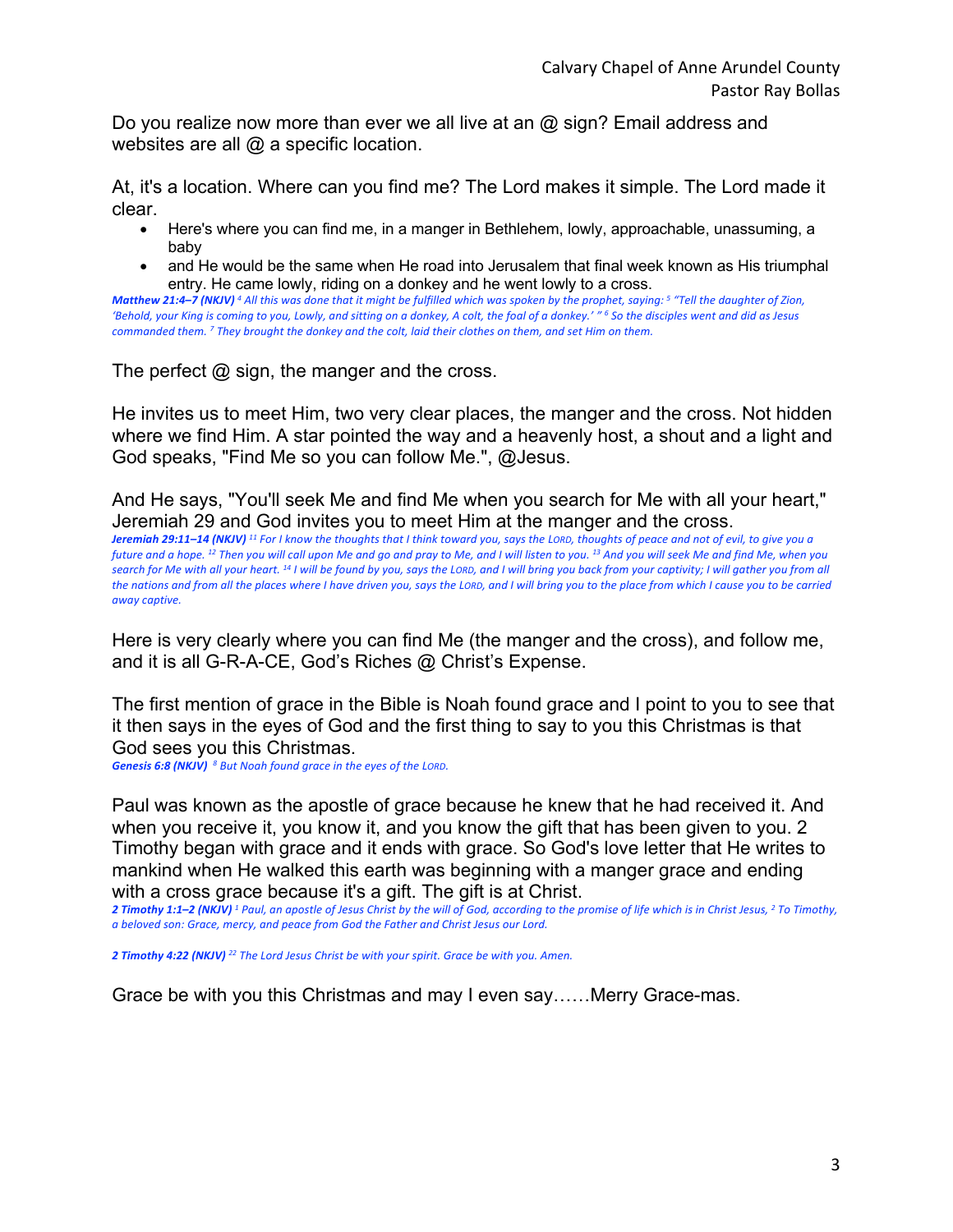Do you realize now more than ever we all live at an @ sign? Email address and websites are all  $@$  a specific location.

At, it's a location. Where can you find me? The Lord makes it simple. The Lord made it clear.

- Here's where you can find me, in a manger in Bethlehem, lowly, approachable, unassuming, a baby
- and He would be the same when He road into Jerusalem that final week known as His triumphal entry. He came lowly, riding on a donkey and he went lowly to a cross.

*Matthew 21:4–7 (NKJV) <sup>4</sup> All this was done that it might be fulfilled which was spoken by the prophet, saying: 5 "Tell the daughter of Zion, 'Behold, your King is coming to you, Lowly, and sitting on a donkey, A colt, the foal of a donkey.' " 6 So the disciples went and did as Jesus commanded them. 7 They brought the donkey and the colt, laid their clothes on them, and set Him on them.* 

The perfect  $\omega$  sign, the manger and the cross.

He invites us to meet Him, two very clear places, the manger and the cross. Not hidden where we find Him. A star pointed the way and a heavenly host, a shout and a light and God speaks, "Find Me so you can follow Me.", @Jesus.

And He says, "You'll seek Me and find Me when you search for Me with all your heart," Jeremiah 29 and God invites you to meet Him at the manger and the cross.

*Jeremiah 29:11–14 (NKJV) <sup>11</sup> For I know the thoughts that I think toward you, says the LORD, thoughts of peace and not of evil, to give you a future and a hope. 12 Then you will call upon Me and go and pray to Me, and I will listen to you. 13 And you will seek Me and find Me, when you search for Me with all your heart. 14 I will be found by you, says the LORD, and I will bring you back from your captivity; I will gather you from all the nations and from all the places where I have driven you, says the LORD, and I will bring you to the place from which I cause you to be carried away captive.* 

Here is very clearly where you can find Me (the manger and the cross), and follow me, and it is all G-R-A-CE, God's Riches @ Christ's Expense.

The first mention of grace in the Bible is Noah found grace and I point to you to see that it then says in the eyes of God and the first thing to say to you this Christmas is that God sees you this Christmas.

*Genesis 6:8 (NKJV) <sup>8</sup> But Noah found grace in the eyes of the LORD.* 

Paul was known as the apostle of grace because he knew that he had received it. And when you receive it, you know it, and you know the gift that has been given to you. 2 Timothy began with grace and it ends with grace. So God's love letter that He writes to mankind when He walked this earth was beginning with a manger grace and ending with a cross grace because it's a gift. The gift is at Christ.

*2 Timothy 1:1–2 (NKJV) <sup>1</sup> Paul, an apostle of Jesus Christ by the will of God, according to the promise of life which is in Christ Jesus, 2 To Timothy, a beloved son: Grace, mercy, and peace from God the Father and Christ Jesus our Lord.* 

*2 Timothy 4:22 (NKJV) <sup>22</sup> The Lord Jesus Christ be with your spirit. Grace be with you. Amen.* 

Grace be with you this Christmas and may I even say……Merry Grace-mas.